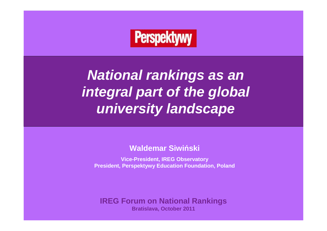# **Perspektywy**

**National rankings as an integral part of the global university landscape**

**Waldemar Siwi ński**

**Vice-President, IREG ObservatoryPresident, Perspektywy Education Foundation, Poland**

**IREG Forum on National RankingsBratislava, October 2011**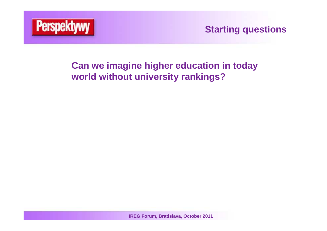

**Starting questions**

# **Can we imagine higher education in today world without university rankings?**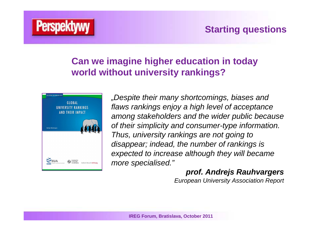

**Starting** questions

# **Can we imagine higher education in today world without university rankings?**



"Despite their many shortcomings, biases and flaws rankings enjoy a high level of acceptance among stakeholders and the wider public because of their simplicity and consumer-type information. Thus, university rankings are not going to disappear; indead, the number of rankings is expected to increase although they will became more specialised."

#### **prof. Andrejs Rauhvargers**

European University Association Report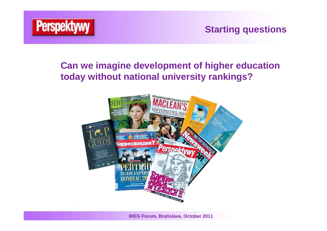

**Starting** questions

# **Can we imagine development of higher education today without national university rankings?**

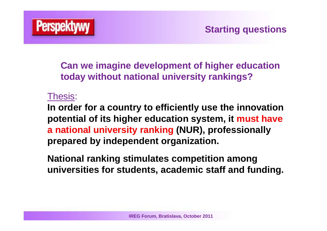

**Can we imagine development of higher education today without national university rankings?**

# Thesis:

**In order for a country to efficiently use the innovation potential of its higher education system, it must have a national university ranking (NUR), professionally prepared by independent organization.**

**National ranking stimulates competition among universities for students, academic staff and funding.**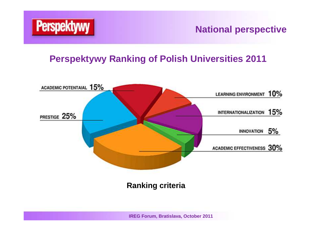

**National perspective**

# **Perspektywy Ranking of Polish Universities 2011**

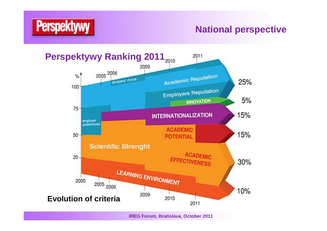



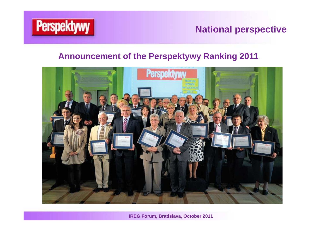

**National perspective**

#### **Announcement of the Perspektywy Ranking 2011**

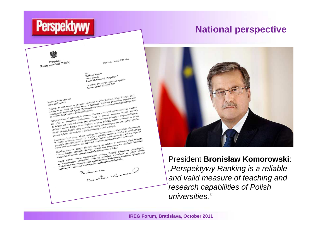# **Perspektywy**

### **National perspective**



Prezydent<br>Rzeczypospolitej Polskiej

Warszawa, 19 maja 2011 roku

Pan<br>Waldemar Siwiński Waldemar Siwman<br>Prezes Zarządu<br>Fundacji Edukacyjnej "Perspektywy"<br>Fundacji Edukacyjnej "sego ogłoszenia w

Szanowny Panie Prezesie!<br>Szanowni Państwo!<br>Szanowni Państwo!<br>Dziękuję za zaproszenie na uroczyste ogłoszenie wyników Rankingu Szkół Wyższych 2011.<br>Dziękuję za zaproszenie na uroczyste Opłoszenie przedmienię także do wszyst Szanowny Panie Prezesie!

Szanowny Panie Prezesie!<br>Szanowny Panietwo!<br>Zalowni Państwo!<br>Dziękuję za zaproszenie na uroczyste ogłoszenie wyników Rankingu Szkół Wyższych 2011.<br>Dziękuję za zaproszenie na uroczyste ogłoszenie nacienie także do wszystkic Szanowny Panie Prezesie!<br>Szanowny Panie Prezesie!<br>Szanowni Państwol<br>Szanowni Państwol<br>Szanowni Państwol<br>Szanowni Państwol – na uroczyste ogłoszenie wyników Rankingu Szkół na organizatorów<br>Dziękuję za zaproszenie na uroczys Szanowina za zaproszenie na uroczystane z państwenie także do wszystenie za zaproszenie na uroczystane z zaproszenie do zachał także do wszystenie z zaproszenie zaluję, z zaproszenie Słowa powiatalne Biblioteki Romezej.<br>Za Dziekuje za zaprowania Slowa powirania nezapisane nezapisalne za zaprowania zaprowania zaprowania zaprowania zaprowania zaprowania zaprowania zaprowania zaprowania zaprowania zaprowania do warszawskiej centralnej Bibliotek Dziękuje za nie mogę być czasnie Słowa powiata<br>Załuję, że nie mogę być czasnie Słowa powiata<br>zankingu oraz szacowna Kapitalioteki Rolniczej<br>do warszawskiej Centralnej Biblioteki Lat coroczna kl Statistics in the most extending the procedure properties and the result of the most and the contract and the contract of the contract of the property and the contract of the property and the contract of the property and t snkingu oraz samelje Bunović biomović zaudnika zaudnika zaudnika zaudnika zaudnika zaudnika zaudnika zaudnika<br>przeprowadzana od kilkunastu lat coroczna kłasyfikacja Wynikż zaudnika wybiom kierunku<br>przeprowadzana od kilkuna

Howarszawskiego de kilkunastu lat coroczkim. Darzą ją rowine związanych z wytożąca ze świata przeprowadzana de kilkunastu akademickim. Darzą ją rowine osobistości ze świata przeprowadzany i aktualny nie cylko w środowisku nie rytuoma wskazowanie przez Kapitułe, w konstancji polityczych się zachodzie standard z spostacji przez Kapitułe, a jest postrzegany i spostacji szkół wyższych szkół wyższych szkół wyższych zakiernie a jest wyróżnieniem, ine vyna krónych jest cenna wsamie przez Kapitułe, w metalicznego i skoliczenie rekomendacja studiów i uczelni. Przyjęte przez Kapitułe że ranking jest postażenie rekomendacja studiów i uczelni, kryteria ocemy sprawialia ż Sla krotycu rezelní. Przyjęte przemaja, że rankary byzazych.<br>
studiów i uczelní. Przyjęte przemaja, że rankarych szkół wyższych.<br>
Halów i uczelní. Jej dydaktycznym naukowych możliwości następu jest wyróżnieniem, a jednocze

studiów i uczenie kryteria oceny sprawaliwości naszych szkoliczneg na jednocześnie rekulacji nauki i edukatycznym naukowych możliwości naszych szkolicznego i jest wyróżniemiem, a jednocześnie piernik dydaktycznym miernik d mation is distinguistic the analysis of the example of the example of the example of the statement of the statement of the example of the example of the example of the example of the example of the example of the pole of t mienia się w gronie liderów samowi powierdzenie, zakingu, zakingu, zakingu, zakingu, zakingu, zakingu, zakingu, zakingu, zakingu, zakingu, zakingu, zakingu, zakingu, zakingu, zakingu, zakingu, zakingu, zakingu, zakingu, za

Znalezienie stw. w politiczy w maliow. Stanie z programu studenty wycznego experime spokezne spokezne w regenceznej edycji rankingu,<br>w ocenie spokeznej świadczy programu studentom zalezienia, jak i dobre warez w regencezne potencja sudentom zarowno w potencju okazały się imię powodzenia we w potencja sudentom zarowno w potencja z pozych placówki okazały o zaz powodzenie w morzych placów z potencja (z potencja z potencja z potencja z potencja potential and account the comparison of the comparison of the comparison of the Grand Comparison of the Companison of the Companison of the comparison of the comparison of the state of the state of the state of the state o swom sure teknoom, których płacowa rozwoju oraz rozskiego w Polsce.<br>
i przedzielnie rektorom, których płaczego rozwoju oraz polsce.<br>
i życze Państwa uczelniomu nauczania akademickiego w Polsce.<br>
i życze Państwa uczelnie or Gratuluje rektorom, ktorý nazelistené poznak akademickego w nadacji Edukacyjnej "Penpech" osrodki i życzę Państwa urzelinom nauczania akademickego w nachodzi Edukacyjnej "Penpech" za konstrukcja służących podmorazach służą

służących poznanie organizatowe miejstywy promujący podwyższania stano<br>Pragne wyrazie wartościowe wyższe do stalego podwyższania stano<br>za kontynuowanie wartościowe wyższe do stalego podwyższania stano<br>akademickie i motywuj piace luceuse interestions and the community of the community of the community of the community of the community of the community of the community of the community of the community of the community of the community of the

warzes Zarządu<br>Fundacji Edukacyjnej "Perspektywy<br>Fundacji Edukacyjnej ogłoszenia wyników<br>Uczestnicy uroczystego ogłoszenia<br>Rankingu Szkól Wyższych 2011

President **Bronisław Komorowski**: "Perspektywy Ranking is a reliable and valid measure of teaching and research capabilities of Polish universities."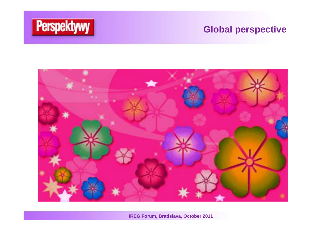

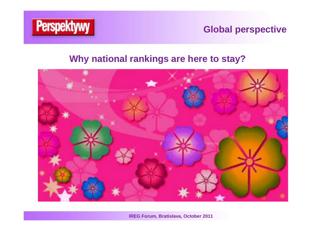

# **Why national rankings are here to stay?**

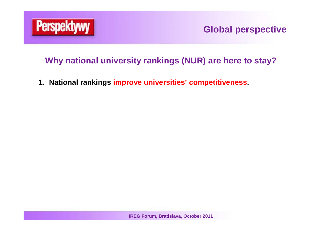

### **Why national university rankings (NUR) are here to stay?**

**1. National rankings improve universities' competitiveness.**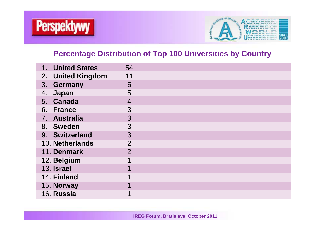



#### **Percentage Distribution of Top 100 Universities by Country**

| 1. United States  | 54             |  |
|-------------------|----------------|--|
| 2. United Kingdom | 11             |  |
| 3. Germany        | 5              |  |
| Japan<br>4.       | 5              |  |
| 5. Canada         | 4              |  |
| 6. France         | 3              |  |
| 7. Australia      | 3              |  |
| 8. Sweden         | 3              |  |
| 9. Switzerland    | 3              |  |
| 10. Netherlands   | $\overline{2}$ |  |
| 11. Denmark       | $\overline{2}$ |  |
| 12. Belgium       |                |  |
| 13. Israel        |                |  |
| 14. Finland       |                |  |
| 15. Norway        |                |  |
| 16. Russia        | 1              |  |
|                   |                |  |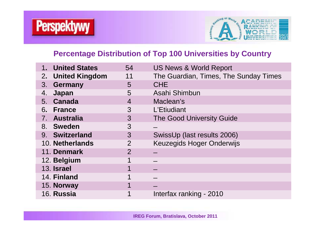



#### **Percentage Distribution of Top 100 Universities by Country**

| <b>United States</b><br>1. | 54             | <b>US News &amp; World Report</b>     |
|----------------------------|----------------|---------------------------------------|
| 2. United Kingdom          | 11             | The Guardian, Times, The Sunday Times |
| 3. Germany                 | 5              | <b>CHE</b>                            |
| Japan<br>4.                | 5              | Asahi Shimbun                         |
| 5. Canada                  | $\overline{4}$ | Maclean's                             |
| 6. France                  | 3              | L'Etiudiant                           |
| 7. Australia               | 3              | <b>The Good University Guide</b>      |
| 8. Sweden                  | 3              |                                       |
| 9. Switzerland             | 3              | SwissUp (last results 2006)           |
| 10. Netherlands            | $\overline{2}$ | <b>Keuzegids Hoger Onderwijs</b>      |
| 11. Denmark                | $\overline{2}$ |                                       |
| 12. Belgium                |                |                                       |
| 13. Israel                 | 1              |                                       |
| 14. Finland                | 1              |                                       |
| 15. Norway                 | 1              |                                       |
| 16. Russia                 | 1              | Interfax ranking - 2010               |
|                            |                |                                       |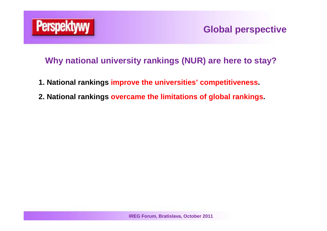

- **1. National rankings improve the universities' competitiveness.**
- **2. National rankings overcame the limitations of global rankings.**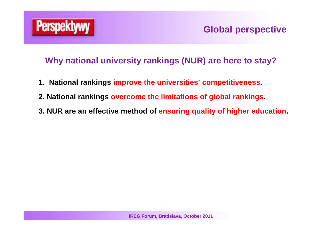

- **1. National rankings improve the universities' competitiveness.**
- **2. National rankings overcome the limitations of global rankings.**
- **3. NUR are an effective method of ensuring quality of higher education.**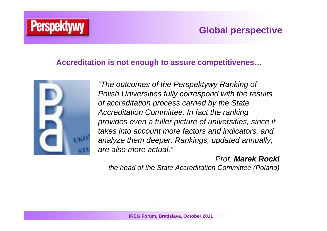# **Perspekty**

# **Global perspective**

#### **Accreditation is not enough to assure competitivenes…**



"The outcomes of the Perspektywy Ranking of Polish Universities fully correspond with the results of accreditation process carried by the State Accreditation Committee. In fact the ranking provides even a fuller picture of universities, since it takes into account more factors and indicators, and analyze them deeper. Rankings, updated annually, are also more actual."

### Prof. **Marek Rocki**

the head of the State Accreditation Committee (Poland)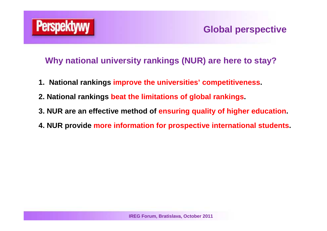

- **1. National rankings improve the universities' competitiveness.**
- **2. National rankings beat the limitations of global rankings.**
- **3. NUR are an effective method of ensuring quality of higher education.**
- **4. NUR provide more information for prospective international students.**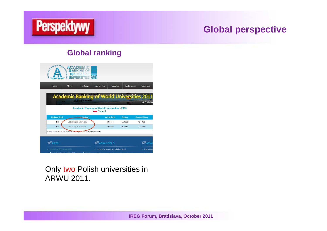

#### **Global ranking**

| Home                            | <b>Rankings</b><br><b>About</b>                                                   | Initiative<br><b>Universities</b>                    | Conferences             | <b>Resources</b>                |
|---------------------------------|-----------------------------------------------------------------------------------|------------------------------------------------------|-------------------------|---------------------------------|
|                                 | <b>Academic Ranking of World Universities 2011</b><br><b>University of Munich</b> |                                                      |                         |                                 |
|                                 |                                                                                   | <b>Academic Ranking of World Universities - 2010</b> |                         | is availa                       |
|                                 |                                                                                   | Poland                                               |                         |                                 |
| <b>National Rank</b><br>$1 - 2$ | Institution*<br>Jagiellonian University                                           | <b>World Rank</b><br>$301 - 400$                     | <b>Region</b><br>Europe | <b>Regional Rank</b><br>124-168 |
| $1 - 2$                         | University of Warsaw                                                              | 301-400                                              | Europe                  | 124-168                         |
|                                 | * Institutions within the same rank range are listed alphabetically.              |                                                      |                         |                                 |

#### Only two Polish universities in ARWU 2011.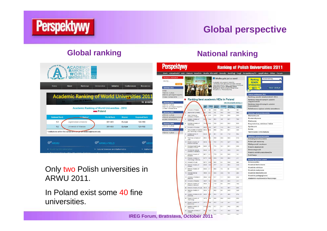

#### **Global ranking**

| Home                 | <b>Rankings</b><br><b>About</b>                    | <b>Universities</b><br><b>Initiative</b>             | Conferences      | <b>Resources</b>     |
|----------------------|----------------------------------------------------|------------------------------------------------------|------------------|----------------------|
|                      | <b>Academic Ranking of World Universities 2011</b> |                                                      |                  |                      |
|                      | <b>University of Munich</b>                        |                                                      |                  | is availa            |
|                      |                                                    | <b>Academic Ranking of World Universities - 2010</b> |                  |                      |
|                      |                                                    | Poland                                               |                  |                      |
| <b>National Rank</b> | Institution*                                       | <b>World Rank</b>                                    | <b>Region</b>    | <b>Regional Rank</b> |
|                      |                                                    |                                                      |                  |                      |
| $1 - 2$<br>$1 - 2$   | Jagiellonian University<br>University of Warsaw    | 301-400<br>301-400                                   | Europe<br>Europe | 124-168<br>124-168   |

#### Only two Polish universities in ARWU 2011.

In Poland exist some 40 fine universities.

#### **National rankingPerspektywy Ranking of Polish Universities 2011** Start Aktualności eLO Matura Uczelnie Studia Kierunki Zawody Rankingi Targi PerspektywyTV Języki-obce Sklep Forum **M** Wielka gala już za nami! Wyblerz renking Ranking Z udziałem elity polskich rektoró **SZKÓŁ Alexander Constitution Engine Constant Profession**<br> **Alexander Constant Profession Constant Profession Constant Profession Constant Profession Constant Profession**<br> **Alexander Constant Profession Constant Profession Const** WYŻSZYCH Ranking 2011 Pokaz tabele  $\overline{2011}$ · Sekola wyższe Bakely ponadgimnazja Tabele rankingowe 2011 · Licea warszawski Ranking uczelni akademickich 2011 Ranking best academic HEIs in Poland Ranking niegublicznych uczelni magisterskich Ranking 2010 View the complete ranking >> Ranking niepublicznych uczelni · Szkoły wyższe Healt Pretal Scentific Intention Studying<br>2014 - Annualit **Uranciarkich** Bakely ponadgimnazialne Licea warszawskie Państwowe wyższe szkoły zawodow University of Warsaw 100 100 945 556  $170$  $1466$ Ranking 2009 0327 85.0 100  $49.5$ Japaicnian University  $10.5$ 96.5 **Ranking w grupach klen** Szkoły wyższe Adam Micklewicz<br>University in Pognan 32 513 57.8 27.6  $33.8$ 93.2 Ekonomiczne · Szkoły ponadoimnażla Humanistyczne Warsen University of · Licea warszawski 22 244 293 100 63.7  $72.6$ Medyczne Wroclew University of 75.28 65.2 72.5 54.5 \$2.2 60.5 Ranking 2008 Przyrodnicze, rolnicze i leśne . Szkoły wyższe Spoleczne 69.69 38.6 90.7  $143$ \$1.6 University of Wroclew \$8.4 Sciste Ranking 2007 After Linkerston Allmanne 45 AS 68.8 99.5 92.4 62.11 34.5 and Technology In Craco Techniczne i informatyka · Szkoły wyższe Warsaw School of 60.06 **BS** 56.1 9.6  $71.9$ 65.2 Ranking w grupach kryterióv \$9.54 59.9 \$9.5 625  $81.2$ Technical University of Umiedzynarodowienie Potencjał naukowy 10 Popran University of<br>Medical Sciences 51.36 128 720  $27.2$  $34.7$ \$5.4 Efektywność naukowa 11 Noolaus Copernicues 54.90 21 77.4 188.1 63.1  $30.5$ Prestiž akademicki Innowacyiność 12 Pomerantan Medical<br>University in Sacancin 54.85 2 79.1  $4.0$  $92.9$  $30.0$ Prestiż wśród pracodawców 13 Medical University of 52.71 40  $77.9$  $0.8$ 94.5 14.1 Publikacje \$1.73 26.9 60.9  $28.5$  $41.1$ 14 Slieslan University of \$1.9 Ranking wg typów ucz Technology in Gilwice 15 University of Logs \$0.73 00 65.0  $13.3$ \$3.6 48.6 Uniwersytety  $47.7$ Uczelnie techniczn 16 Medical University of 90.09 15.3  $4.4$  $68.3.$  $34.9.$ Uczelnie rolnicze 7 Medical University of 50.60 4.7 66.5  $7.6$ 93  $34.5$ Uczelnie medyczne Goans 60.8 18 Wroclaw Medical<br>University 49 95 58 33.6 100 29.4 Uczelnie ekonomiczne Uczelnie pedagogiczne 19 University of Sliesia in 49.60 200  $67.7$  $\uparrow\uparrow,\uparrow$  $_{\rm 20.2}$ 63.4 Akademie wychowania fizycznego 49.67 183  $63.1$  $20.9$  $41.1$ 20 University of October  $00.2$  $71.9$ 21 Medical University of<br>Sliesia in Katowice 49.50 4  $32 54.3$  $32.2$ 22 Medical University of Look 49.16 5 64.3 15.4 96.7  $23.6$ 23 Medical University in 49.04 2 **96.5**  $9.9\,$  $32.9$ 24.9 Tekst główny 133 453 141 28 Kopminski University In 45.6 35.6  $44.1$

84.8 32.4.  $RTR$   $+8.1$ 

**IREG Forum, Bratislava, October 2011**

szukai.

 $MRA$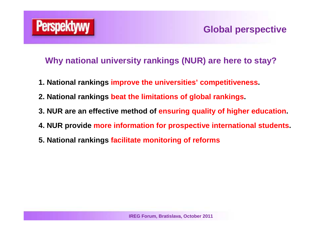

- **1. National rankings improve the universities' competitiveness.**
- **2. National rankings beat the limitations of global rankings.**
- **3. NUR are an effective method of ensuring quality of higher education.**
- **4. NUR provide more information for prospective international students.**
- **5. National rankings facilitate monitoring of reforms**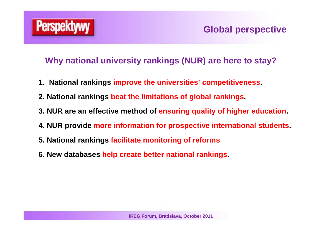

- **1. National rankings improve the universities' competitiveness.**
- **2. National rankings beat the limitations of global rankings.**
- **3. NUR are an effective method of ensuring quality of higher education.**
- **4. NUR provide more information for prospective international students.**
- **5. National rankings facilitate monitoring of reforms**
- **6. New databases help create better national rankings.**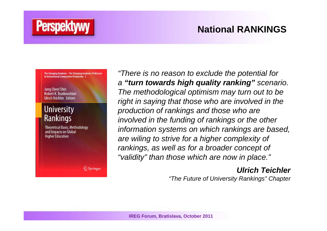# **National RANKINGS**

The Changing Academy - The Changing Academic Profession in International Comparative Perspective 3

#### Juna Cheol Shin **Robert K. Toutkoushian** Ulrich Teichler Editors

**Perspekty** 

#### **University** Rankings

**Theoretical Basis, Methodology** and Impacts on Global **Higher Education** 

 $\mathcal{D}$  Springer

"There is no reason to exclude the potential for a **"turn towards high quality ranking"** scenario. The methodological optimism may turn out to be right in saying that those who are involved in the production of rankings and those who are involved in the funding of rankings or the other information systems on which rankings are based, are wiling to strive for a higher complexity of rankings, as well as for a broader concept of "validity" than those which are now in place."

#### **Ulrich Teichler**

"The Future of University Rankings" Chapter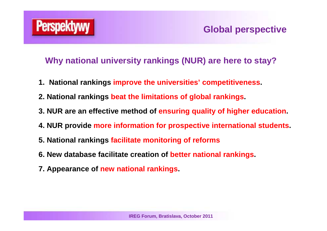

- **1. National rankings improve the universities' competitiveness.**
- **2. National rankings beat the limitations of global rankings.**
- **3. NUR are an effective method of ensuring quality of higher education.**
- **4. NUR provide more information for prospective international students.**
- **5. National rankings facilitate monitoring of reforms**
- **6. New database facilitate creation of better national rankings.**
- **7. Appearance of new national rankings.**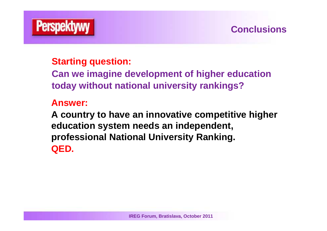

# **Conclusions**

# **Starting question:**

**Can we imagine development of higher education today without national university rankings?**

#### **Answer:**

**A country to have an innovative competitive highereducation system needs an independent, professional National University Ranking. QED.**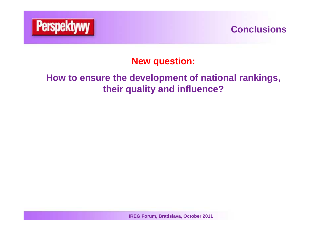

### **Conclusions**

# **New question:**

# **How to ensure the development of national rankings,their quality and influence?**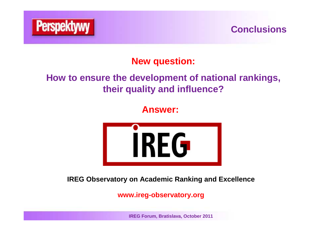

# **Conclusions**

**New question:**

# **How to ensure the development of national rankings,their quality and influence?**

**Answer:**



**IREG Observatory on Academic Ranking and Excellence**

**www.ireg-observatory.org**